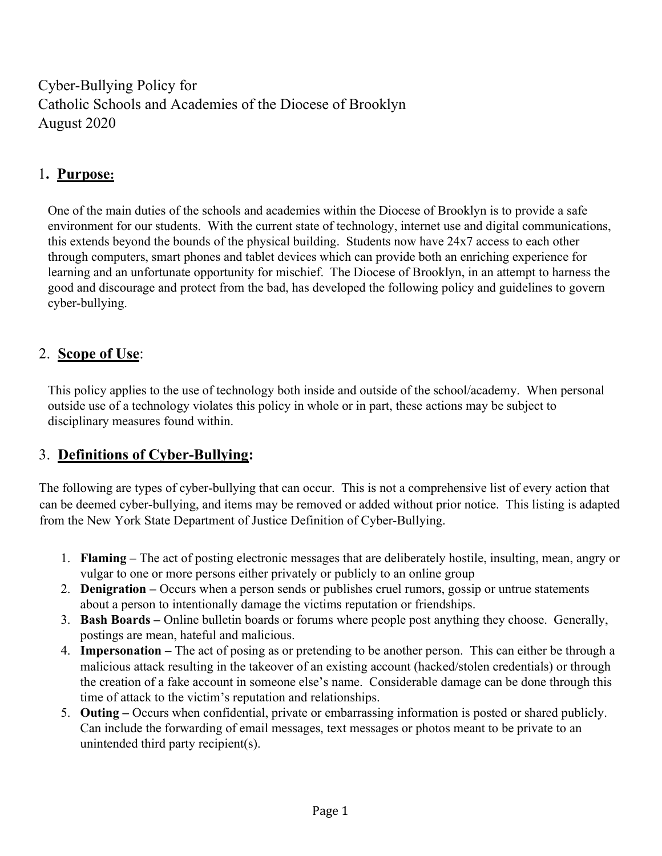Cyber-Bullying Policy for Catholic Schools and Academies of the Diocese of Brooklyn August 2020

# 1. Purpose:

 One of the main duties of the schools and academies within the Diocese of Brooklyn is to provide a safe environment for our students. With the current state of technology, internet use and digital communications, this extends beyond the bounds of the physical building. Students now have 24x7 access to each other through computers, smart phones and tablet devices which can provide both an enriching experience for learning and an unfortunate opportunity for mischief. The Diocese of Brooklyn, in an attempt to harness the good and discourage and protect from the bad, has developed the following policy and guidelines to govern cyber-bullying.

### 2. Scope of Use:

 This policy applies to the use of technology both inside and outside of the school/academy. When personal outside use of a technology violates this policy in whole or in part, these actions may be subject to disciplinary measures found within.

#### 3. Definitions of Cyber-Bullying:

The following are types of cyber-bullying that can occur. This is not a comprehensive list of every action that can be deemed cyber-bullying, and items may be removed or added without prior notice. This listing is adapted from the New York State Department of Justice Definition of Cyber-Bullying.

- 1. Flaming The act of posting electronic messages that are deliberately hostile, insulting, mean, angry or vulgar to one or more persons either privately or publicly to an online group
- 2. Denigration Occurs when a person sends or publishes cruel rumors, gossip or untrue statements about a person to intentionally damage the victims reputation or friendships.
- 3. Bash Boards Online bulletin boards or forums where people post anything they choose. Generally, postings are mean, hateful and malicious.
- 4. Impersonation The act of posing as or pretending to be another person. This can either be through a malicious attack resulting in the takeover of an existing account (hacked/stolen credentials) or through the creation of a fake account in someone else's name. Considerable damage can be done through this time of attack to the victim's reputation and relationships.
- 5. Outing Occurs when confidential, private or embarrassing information is posted or shared publicly. Can include the forwarding of email messages, text messages or photos meant to be private to an unintended third party recipient(s).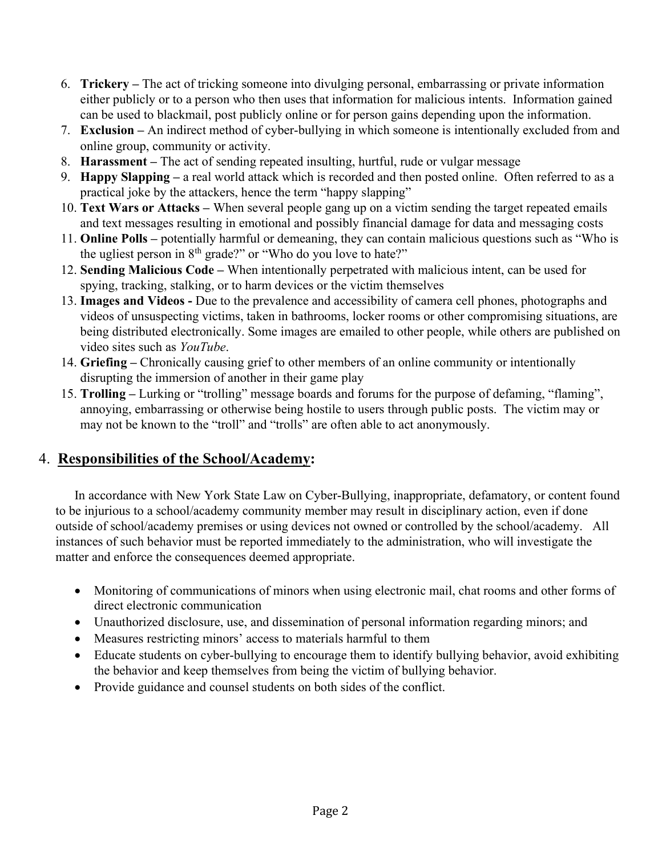- 6. Trickery The act of tricking someone into divulging personal, embarrassing or private information either publicly or to a person who then uses that information for malicious intents. Information gained can be used to blackmail, post publicly online or for person gains depending upon the information.
- 7. Exclusion An indirect method of cyber-bullying in which someone is intentionally excluded from and online group, community or activity.
- 8. Harassment The act of sending repeated insulting, hurtful, rude or vulgar message
- 9. Happy Slapping a real world attack which is recorded and then posted online. Often referred to as a practical joke by the attackers, hence the term "happy slapping"
- 10. Text Wars or Attacks When several people gang up on a victim sending the target repeated emails and text messages resulting in emotional and possibly financial damage for data and messaging costs
- 11. Online Polls potentially harmful or demeaning, they can contain malicious questions such as "Who is the ugliest person in  $8<sup>th</sup>$  grade?" or "Who do you love to hate?"
- 12. Sending Malicious Code When intentionally perpetrated with malicious intent, can be used for spying, tracking, stalking, or to harm devices or the victim themselves
- 13. Images and Videos Due to the prevalence and accessibility of camera cell phones, photographs and videos of unsuspecting victims, taken in bathrooms, locker rooms or other compromising situations, are being distributed electronically. Some images are emailed to other people, while others are published on video sites such as YouTube.
- 14. Griefing Chronically causing grief to other members of an online community or intentionally disrupting the immersion of another in their game play
- 15. Trolling Lurking or "trolling" message boards and forums for the purpose of defaming, "flaming", annoying, embarrassing or otherwise being hostile to users through public posts. The victim may or may not be known to the "troll" and "trolls" are often able to act anonymously.

#### 4. Responsibilities of the School/Academy:

In accordance with New York State Law on Cyber-Bullying, inappropriate, defamatory, or content found to be injurious to a school/academy community member may result in disciplinary action, even if done outside of school/academy premises or using devices not owned or controlled by the school/academy. All instances of such behavior must be reported immediately to the administration, who will investigate the matter and enforce the consequences deemed appropriate.

- Monitoring of communications of minors when using electronic mail, chat rooms and other forms of direct electronic communication
- Unauthorized disclosure, use, and dissemination of personal information regarding minors; and
- Measures restricting minors' access to materials harmful to them
- Educate students on cyber-bullying to encourage them to identify bullying behavior, avoid exhibiting the behavior and keep themselves from being the victim of bullying behavior.
- Provide guidance and counsel students on both sides of the conflict.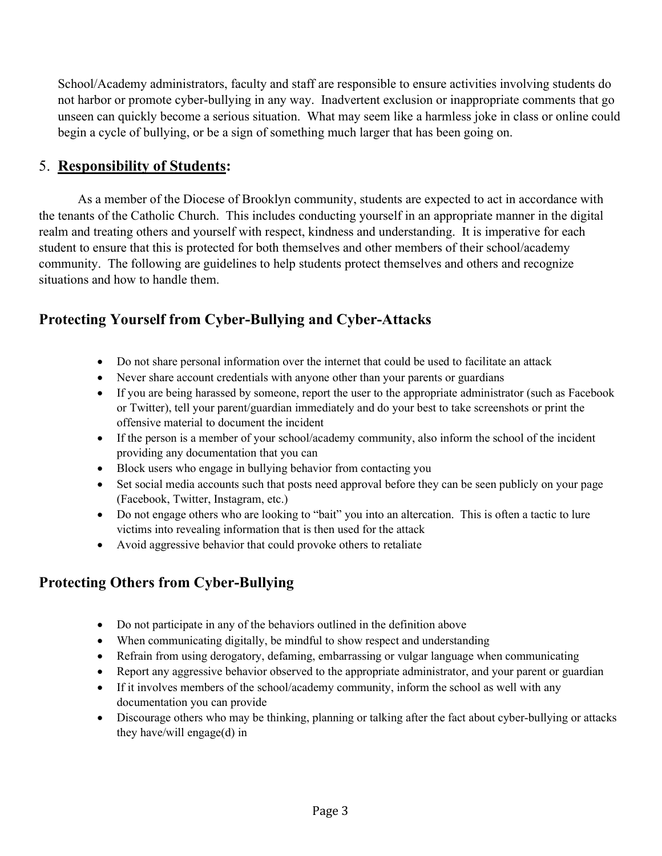School/Academy administrators, faculty and staff are responsible to ensure activities involving students do not harbor or promote cyber-bullying in any way. Inadvertent exclusion or inappropriate comments that go unseen can quickly become a serious situation. What may seem like a harmless joke in class or online could begin a cycle of bullying, or be a sign of something much larger that has been going on.

#### 5. Responsibility of Students:

 As a member of the Diocese of Brooklyn community, students are expected to act in accordance with the tenants of the Catholic Church. This includes conducting yourself in an appropriate manner in the digital realm and treating others and yourself with respect, kindness and understanding. It is imperative for each student to ensure that this is protected for both themselves and other members of their school/academy community. The following are guidelines to help students protect themselves and others and recognize situations and how to handle them.

# Protecting Yourself from Cyber-Bullying and Cyber-Attacks

- Do not share personal information over the internet that could be used to facilitate an attack
- Never share account credentials with anyone other than your parents or guardians
- If you are being harassed by someone, report the user to the appropriate administrator (such as Facebook or Twitter), tell your parent/guardian immediately and do your best to take screenshots or print the offensive material to document the incident
- If the person is a member of your school/academy community, also inform the school of the incident providing any documentation that you can
- Block users who engage in bullying behavior from contacting you
- Set social media accounts such that posts need approval before they can be seen publicly on your page (Facebook, Twitter, Instagram, etc.)
- Do not engage others who are looking to "bait" you into an altercation. This is often a tactic to lure victims into revealing information that is then used for the attack
- Avoid aggressive behavior that could provoke others to retaliate

### Protecting Others from Cyber-Bullying

- Do not participate in any of the behaviors outlined in the definition above
- When communicating digitally, be mindful to show respect and understanding
- Refrain from using derogatory, defaming, embarrassing or vulgar language when communicating
- Report any aggressive behavior observed to the appropriate administrator, and your parent or guardian
- If it involves members of the school/academy community, inform the school as well with any documentation you can provide
- Discourage others who may be thinking, planning or talking after the fact about cyber-bullying or attacks they have/will engage(d) in